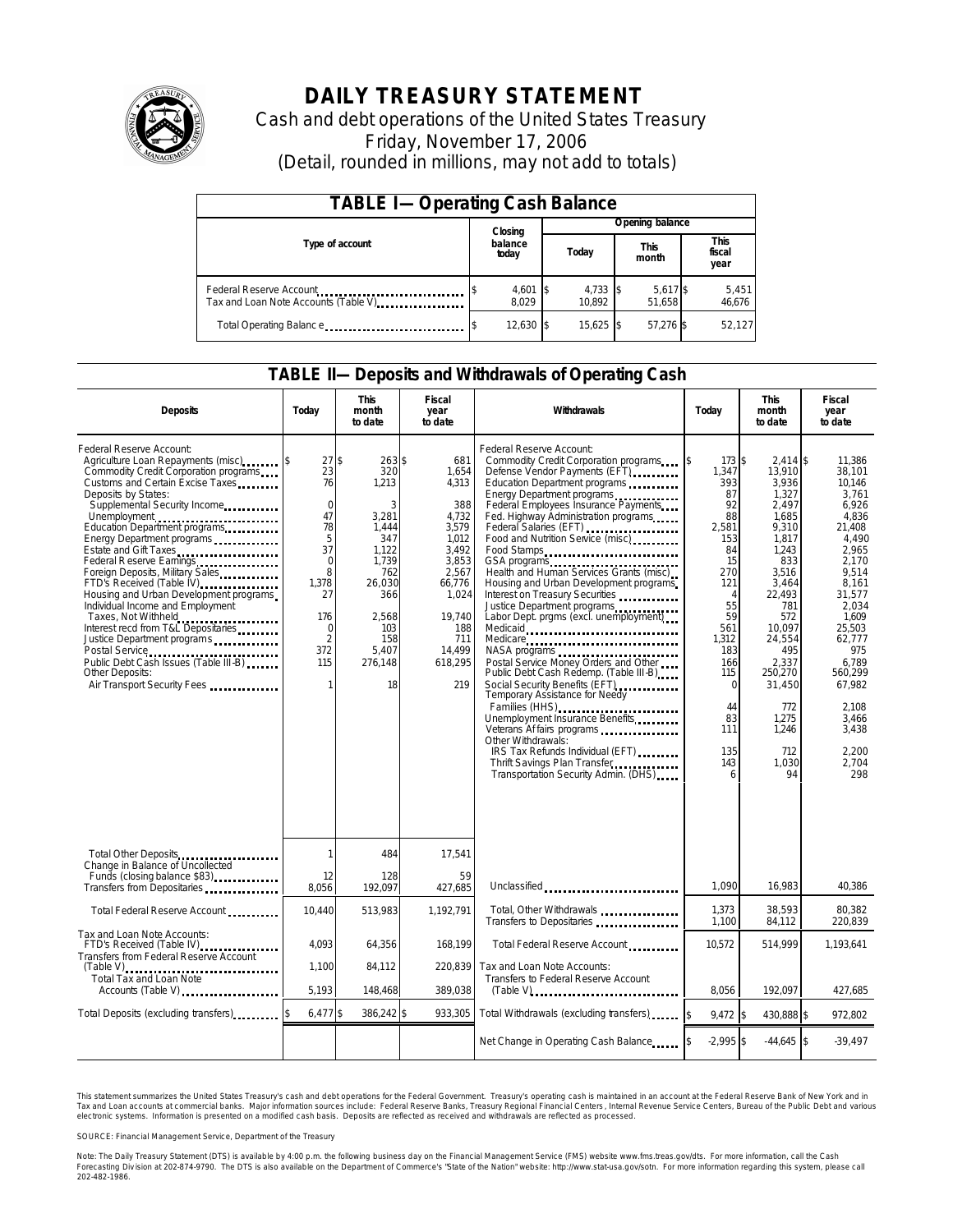

# **DAILY TREASURY STATEMENT**

Cash and debt operations of the United States Treasury Friday, November 17, 2006 (Detail, rounded in millions, may not add to totals)

| <b>TABLE I-Operating Cash Balance</b> |                  |                     |  |                      |  |                      |  |                        |
|---------------------------------------|------------------|---------------------|--|----------------------|--|----------------------|--|------------------------|
|                                       |                  | Closing             |  | Opening balance      |  |                      |  |                        |
| Type of account                       | balance<br>today |                     |  | Today                |  | <b>This</b><br>month |  | This<br>fiscal<br>year |
| Tax and Loan Note Accounts (Table V)  |                  | $4,601$ \$<br>8.029 |  | $4,733$ \$<br>10.892 |  | 5,617 \$<br>51.658   |  | 5,451<br>46,676        |
| Total Operating Balance               |                  | 12,630 \$           |  | 15.625 \$            |  | 57.276 \$            |  | 52,127                 |

### **TABLE II—Deposits and Withdrawals of Operating Cash**

| <b>Deposits</b>                                                                                                                                                                                                                                                                                                                                                                                                                                                                                                                                                                                                                 | Today                                                                                                                                                   | <b>This</b><br>month<br>to date                                                                                                                   | <b>Fiscal</b><br>year<br>to date                                                                                                                          | Withdrawals                                                                                                                                                                                                                                                                                                                                                                                                                                                                                                                                                                                                                                                                                                                                                                                                                                                                                                                                 | Today                                                                                                                                                                                                           | <b>This</b><br>month<br>to date                                                                                                                                                                                                              | <b>Fiscal</b><br>year<br>to date                                                                                                                                                                                                                      |
|---------------------------------------------------------------------------------------------------------------------------------------------------------------------------------------------------------------------------------------------------------------------------------------------------------------------------------------------------------------------------------------------------------------------------------------------------------------------------------------------------------------------------------------------------------------------------------------------------------------------------------|---------------------------------------------------------------------------------------------------------------------------------------------------------|---------------------------------------------------------------------------------------------------------------------------------------------------|-----------------------------------------------------------------------------------------------------------------------------------------------------------|---------------------------------------------------------------------------------------------------------------------------------------------------------------------------------------------------------------------------------------------------------------------------------------------------------------------------------------------------------------------------------------------------------------------------------------------------------------------------------------------------------------------------------------------------------------------------------------------------------------------------------------------------------------------------------------------------------------------------------------------------------------------------------------------------------------------------------------------------------------------------------------------------------------------------------------------|-----------------------------------------------------------------------------------------------------------------------------------------------------------------------------------------------------------------|----------------------------------------------------------------------------------------------------------------------------------------------------------------------------------------------------------------------------------------------|-------------------------------------------------------------------------------------------------------------------------------------------------------------------------------------------------------------------------------------------------------|
| Federal Reserve Account:<br>Agriculture Loan Repayments (misc) \$<br>Commodity Credit Corporation programs<br>Customs and Certain Excise Taxes<br>Deposits by States:<br>Supplemental Security Income<br>Energy Department programs<br>Estate and Gift Taxes<br>Federal Reserve Earnings<br>Foreign Deposits, Military Sales<br>FTD's Received (Table IV)<br>Housing and Urban Development programs<br>Individual Income and Employment<br>Taxes, Not Withheld<br>Interest recd from T&L Depositaries<br>Justice Department programs<br>Public Debt Cash Issues (Table III-B)<br>Other Deposits:<br>Air Transport Security Fees | $27$ \$<br>23<br>76<br>$\mathbf 0$<br>47<br>78<br>5<br>37<br>$\mathbf 0$<br>8<br>1,378<br>27<br>176<br>$\mathbf 0$<br>$\overline{2}$<br>372<br>115<br>1 | $263$ \$<br>320<br>1,213<br>3<br>3,281<br>1.444<br>347<br>1.122<br>1,739<br>762<br>26,030<br>366<br>2.568<br>103<br>158<br>5.407<br>276,148<br>18 | 681<br>1,654<br>4,313<br>388<br>4,732<br>3,579<br>1.012<br>3,492<br>3,853<br>2.567<br>66,776<br>1,024<br>19.740<br>188<br>711<br>14,499<br>618,295<br>219 | Federal Reserve Account:<br>Commodity Credit Corporation programs<br>Defense Vendor Payments (EFT)<br>Education Department programs<br>Energy Department programs<br>Federal Employees Insurance Payments<br>Fed. Highway Administration programs<br>Federal Salaries (EFT)<br>Food and Nutrition Service (misc)<br>Food Stamps<br>GSA programs<br>Health and Human Services Grants (misc)<br>Housing and Urban Development programs<br>Interest on Treasury Securities<br>Justice Department programs<br>Labor Dept. prgms (excl. unemployment)<br>Medicaid<br>Medicare<br>NASA programs<br>Postal Service Money Orders and Other<br>Public Debt Cash Redemp. (Table III B)<br>Social Security Benefits (EFT)<br><br>Temporary Assistance for Needy<br>Families (HHS)<br>Unemployment Insurance Benefits<br>Other Withdrawals:<br>IRS Tax Refunds Individual (EFT)<br>Thrift Savings Plan Transfer<br>Transportation Security Admin. (DHS) | $173$ \$<br>\$<br>1,347<br>393<br>87<br>92<br>88<br>2,581<br>153<br>84<br>15<br>270<br>121<br>$\overline{4}$<br>55<br>59<br>561<br>1,312<br>183<br>166<br>115<br>$\Omega$<br>44<br>83<br>111<br>135<br>143<br>6 | $2,414$ \$<br>13,910<br>3,936<br>1,327<br>2,497<br>1.685<br>9,310<br>1.817<br>1.243<br>833<br>3.516<br>3,464<br>22.493<br>781<br>572<br>10.097<br>24,554<br>495<br>2,337<br>250,270<br>31,450<br>772<br>1,275<br>1,246<br>712<br>1,030<br>94 | 11,386<br>38,101<br>10,146<br>3.761<br>6,926<br>4.836<br>21.408<br>4.490<br>2.965<br>2,170<br>9.514<br>8,161<br>31.577<br>2.034<br>1.609<br>25.503<br>62,777<br>975<br>6.789<br>560.299<br>67.982<br>2.108<br>3,466<br>3,438<br>2.200<br>2.704<br>298 |
| Total Other Deposits                                                                                                                                                                                                                                                                                                                                                                                                                                                                                                                                                                                                            | 1                                                                                                                                                       | 484                                                                                                                                               | 17,541                                                                                                                                                    |                                                                                                                                                                                                                                                                                                                                                                                                                                                                                                                                                                                                                                                                                                                                                                                                                                                                                                                                             |                                                                                                                                                                                                                 |                                                                                                                                                                                                                                              |                                                                                                                                                                                                                                                       |
| Change in Balance of Uncollected<br>Funds (closing balance \$83)<br>Transfers from Depositaries                                                                                                                                                                                                                                                                                                                                                                                                                                                                                                                                 | 12<br>8.056                                                                                                                                             | 128<br>192.097                                                                                                                                    | 59<br>427.685                                                                                                                                             | Unclassified                                                                                                                                                                                                                                                                                                                                                                                                                                                                                                                                                                                                                                                                                                                                                                                                                                                                                                                                | 1.090                                                                                                                                                                                                           | 16.983                                                                                                                                                                                                                                       | 40,386                                                                                                                                                                                                                                                |
| Total Federal Reserve Account                                                                                                                                                                                                                                                                                                                                                                                                                                                                                                                                                                                                   | 10,440                                                                                                                                                  | 513,983                                                                                                                                           | 1,192,791                                                                                                                                                 | Total, Other Withdrawals<br>Transfers to Depositaries                                                                                                                                                                                                                                                                                                                                                                                                                                                                                                                                                                                                                                                                                                                                                                                                                                                                                       | 1,373<br>1,100                                                                                                                                                                                                  | 38,593<br>84,112                                                                                                                                                                                                                             | 80,382<br>220,839                                                                                                                                                                                                                                     |
| Tax and Loan Note Accounts:<br>FTD's Received (Table IV)<br>Transfers from Federal Reserve Account                                                                                                                                                                                                                                                                                                                                                                                                                                                                                                                              | 4.093                                                                                                                                                   | 64,356                                                                                                                                            | 168,199                                                                                                                                                   | Total Federal Reserve Account                                                                                                                                                                                                                                                                                                                                                                                                                                                                                                                                                                                                                                                                                                                                                                                                                                                                                                               | 10,572                                                                                                                                                                                                          | 514,999                                                                                                                                                                                                                                      | 1,193,641                                                                                                                                                                                                                                             |
| <b>Total Tax and Loan Note</b><br>Accounts (Table V)                                                                                                                                                                                                                                                                                                                                                                                                                                                                                                                                                                            | 1,100<br>5.193                                                                                                                                          | 84,112<br>148,468                                                                                                                                 | 220.839<br>389,038                                                                                                                                        | Tax and Loan Note Accounts:<br>Transfers to Federal Reserve Account                                                                                                                                                                                                                                                                                                                                                                                                                                                                                                                                                                                                                                                                                                                                                                                                                                                                         | 8.056                                                                                                                                                                                                           | 192.097                                                                                                                                                                                                                                      | 427.685                                                                                                                                                                                                                                               |
| Total Deposits (excluding transfers)                                                                                                                                                                                                                                                                                                                                                                                                                                                                                                                                                                                            | $6,477$ \$                                                                                                                                              | 386,242 \$                                                                                                                                        | 933,305                                                                                                                                                   | Total Withdrawals (excluding transfers)                                                                                                                                                                                                                                                                                                                                                                                                                                                                                                                                                                                                                                                                                                                                                                                                                                                                                                     | $9.472$ \$                                                                                                                                                                                                      | 430.888 \$                                                                                                                                                                                                                                   | 972.802                                                                                                                                                                                                                                               |
|                                                                                                                                                                                                                                                                                                                                                                                                                                                                                                                                                                                                                                 |                                                                                                                                                         |                                                                                                                                                   |                                                                                                                                                           | Net Change in Operating Cash Balance                                                                                                                                                                                                                                                                                                                                                                                                                                                                                                                                                                                                                                                                                                                                                                                                                                                                                                        | $-2.995$ \$                                                                                                                                                                                                     | $-44.645$ \$                                                                                                                                                                                                                                 | $-39,497$                                                                                                                                                                                                                                             |

This statement summarizes the United States Treasury's cash and debt operations for the Federal Government. Treasury's operating cash is maintained in an account at the Federal Reserve Bank of New York and in Tax and Loan accounts at commercial banks. Major information sources include: Federal Reserve Banks, Treasury Regional Financial Centers, Internal Revenue Service Centers, Bureau of the Public Debt and various<br>electronic s

SOURCE: Financial Management Service, Department of the Treasury

Note: The Daily Treasury Statement (DTS) is available by 4:00 p.m. the following business day on the Financial Management Service (FMS) website www.fms.treas.gov/dts.<br>Forecasting Division at 202-874-9790. The DTS is also a 'S) is available by 4:00 p.m. the following business day on the Financial Management Service (FMS) website www.fms.treas.gov/dts. For more information, call the Cash<br>The DTS is also available on the Department of Commerce'